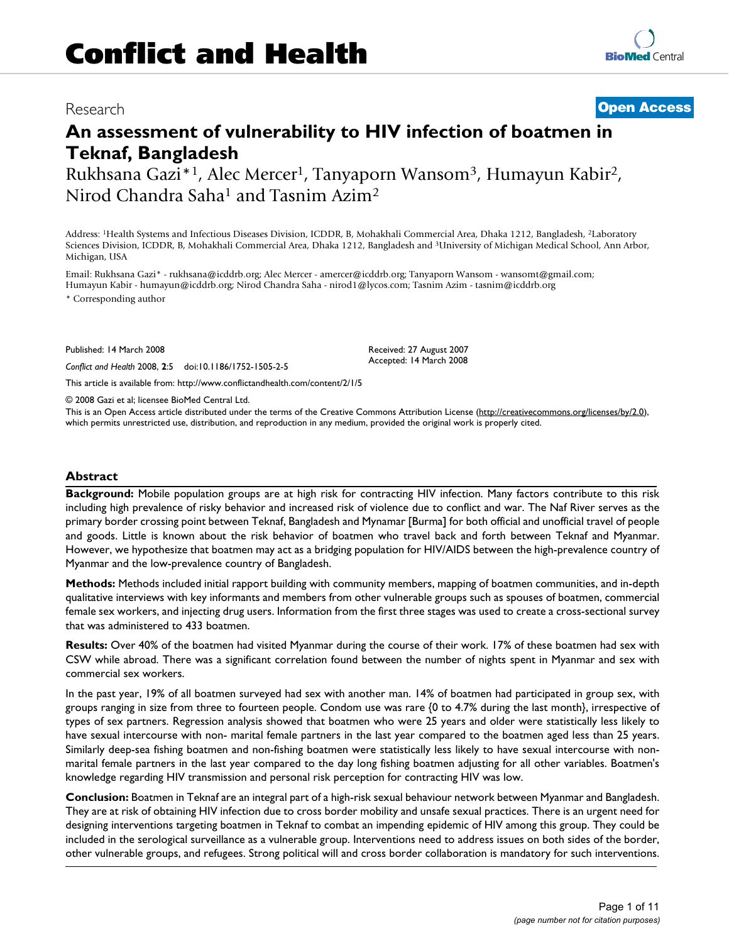## Research **[Open Access](http://www.biomedcentral.com/info/about/charter/)**

# **An assessment of vulnerability to HIV infection of boatmen in Teknaf, Bangladesh**

Rukhsana Gazi\*1, Alec Mercer1, Tanyaporn Wansom3, Humayun Kabir2, Nirod Chandra Saha1 and Tasnim Azim2

Address: 1Health Systems and Infectious Diseases Division, ICDDR, B, Mohakhali Commercial Area, Dhaka 1212, Bangladesh, 2Laboratory Sciences Division, ICDDR, B, Mohakhali Commercial Area, Dhaka 1212, Bangladesh and 3University of Michigan Medical School, Ann Arbor, Michigan, USA

Email: Rukhsana Gazi\* - rukhsana@icddrb.org; Alec Mercer - amercer@icddrb.org; Tanyaporn Wansom - wansomt@gmail.com; Humayun Kabir - humayun@icddrb.org; Nirod Chandra Saha - nirod1@lycos.com; Tasnim Azim - tasnim@icddrb.org

\* Corresponding author

Published: 14 March 2008

*Conflict and Health* 2008, **2**:5 doi:10.1186/1752-1505-2-5

[This article is available from: http://www.conflictandhealth.com/content/2/1/5](http://www.conflictandhealth.com/content/2/1/5)

© 2008 Gazi et al; licensee BioMed Central Ltd.

This is an Open Access article distributed under the terms of the Creative Commons Attribution License [\(http://creativecommons.org/licenses/by/2.0\)](http://creativecommons.org/licenses/by/2.0), which permits unrestricted use, distribution, and reproduction in any medium, provided the original work is properly cited.

Received: 27 August 2007 Accepted: 14 March 2008

#### **Abstract**

**Background:** Mobile population groups are at high risk for contracting HIV infection. Many factors contribute to this risk including high prevalence of risky behavior and increased risk of violence due to conflict and war. The Naf River serves as the primary border crossing point between Teknaf, Bangladesh and Mynamar [Burma] for both official and unofficial travel of people and goods. Little is known about the risk behavior of boatmen who travel back and forth between Teknaf and Myanmar. However, we hypothesize that boatmen may act as a bridging population for HIV/AIDS between the high-prevalence country of Myanmar and the low-prevalence country of Bangladesh.

**Methods:** Methods included initial rapport building with community members, mapping of boatmen communities, and in-depth qualitative interviews with key informants and members from other vulnerable groups such as spouses of boatmen, commercial female sex workers, and injecting drug users. Information from the first three stages was used to create a cross-sectional survey that was administered to 433 boatmen.

**Results:** Over 40% of the boatmen had visited Myanmar during the course of their work. 17% of these boatmen had sex with CSW while abroad. There was a significant correlation found between the number of nights spent in Myanmar and sex with commercial sex workers.

In the past year, 19% of all boatmen surveyed had sex with another man. 14% of boatmen had participated in group sex, with groups ranging in size from three to fourteen people. Condom use was rare  $\{0 \text{ to } 4.7\%$  during the last month}, irrespective of types of sex partners. Regression analysis showed that boatmen who were 25 years and older were statistically less likely to have sexual intercourse with non- marital female partners in the last year compared to the boatmen aged less than 25 years. Similarly deep-sea fishing boatmen and non-fishing boatmen were statistically less likely to have sexual intercourse with nonmarital female partners in the last year compared to the day long fishing boatmen adjusting for all other variables. Boatmen's knowledge regarding HIV transmission and personal risk perception for contracting HIV was low.

**Conclusion:** Boatmen in Teknaf are an integral part of a high-risk sexual behaviour network between Myanmar and Bangladesh. They are at risk of obtaining HIV infection due to cross border mobility and unsafe sexual practices. There is an urgent need for designing interventions targeting boatmen in Teknaf to combat an impending epidemic of HIV among this group. They could be included in the serological surveillance as a vulnerable group. Interventions need to address issues on both sides of the border, other vulnerable groups, and refugees. Strong political will and cross border collaboration is mandatory for such interventions.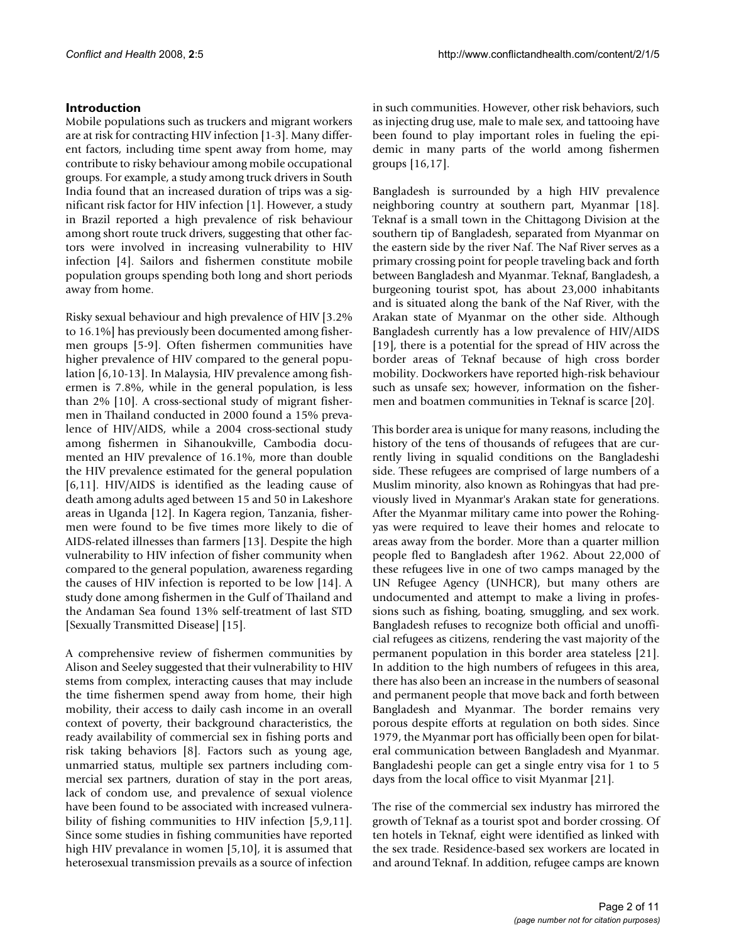## **Introduction**

Mobile populations such as truckers and migrant workers are at risk for contracting HIV infection [1-3]. Many different factors, including time spent away from home, may contribute to risky behaviour among mobile occupational groups. For example, a study among truck drivers in South India found that an increased duration of trips was a significant risk factor for HIV infection [1]. However, a study in Brazil reported a high prevalence of risk behaviour among short route truck drivers, suggesting that other factors were involved in increasing vulnerability to HIV infection [4]. Sailors and fishermen constitute mobile population groups spending both long and short periods away from home.

Risky sexual behaviour and high prevalence of HIV [3.2% to 16.1%] has previously been documented among fishermen groups [5-9]. Often fishermen communities have higher prevalence of HIV compared to the general population [6,10-13]. In Malaysia, HIV prevalence among fishermen is 7.8%, while in the general population, is less than 2% [10]. A cross-sectional study of migrant fishermen in Thailand conducted in 2000 found a 15% prevalence of HIV/AIDS, while a 2004 cross-sectional study among fishermen in Sihanoukville, Cambodia documented an HIV prevalence of 16.1%, more than double the HIV prevalence estimated for the general population [6,11]. HIV/AIDS is identified as the leading cause of death among adults aged between 15 and 50 in Lakeshore areas in Uganda [12]. In Kagera region, Tanzania, fishermen were found to be five times more likely to die of AIDS-related illnesses than farmers [13]. Despite the high vulnerability to HIV infection of fisher community when compared to the general population, awareness regarding the causes of HIV infection is reported to be low [14]. A study done among fishermen in the Gulf of Thailand and the Andaman Sea found 13% self-treatment of last STD [Sexually Transmitted Disease] [15].

A comprehensive review of fishermen communities by Alison and Seeley suggested that their vulnerability to HIV stems from complex, interacting causes that may include the time fishermen spend away from home, their high mobility, their access to daily cash income in an overall context of poverty, their background characteristics, the ready availability of commercial sex in fishing ports and risk taking behaviors [8]. Factors such as young age, unmarried status, multiple sex partners including commercial sex partners, duration of stay in the port areas, lack of condom use, and prevalence of sexual violence have been found to be associated with increased vulnerability of fishing communities to HIV infection [5,9,11]. Since some studies in fishing communities have reported high HIV prevalance in women [5,10], it is assumed that heterosexual transmission prevails as a source of infection

in such communities. However, other risk behaviors, such as injecting drug use, male to male sex, and tattooing have been found to play important roles in fueling the epidemic in many parts of the world among fishermen groups [16,17].

Bangladesh is surrounded by a high HIV prevalence neighboring country at southern part, Myanmar [18]. Teknaf is a small town in the Chittagong Division at the southern tip of Bangladesh, separated from Myanmar on the eastern side by the river Naf. The Naf River serves as a primary crossing point for people traveling back and forth between Bangladesh and Myanmar. Teknaf, Bangladesh, a burgeoning tourist spot, has about 23,000 inhabitants and is situated along the bank of the Naf River, with the Arakan state of Myanmar on the other side. Although Bangladesh currently has a low prevalence of HIV/AIDS [19], there is a potential for the spread of HIV across the border areas of Teknaf because of high cross border mobility. Dockworkers have reported high-risk behaviour such as unsafe sex; however, information on the fishermen and boatmen communities in Teknaf is scarce [20].

This border area is unique for many reasons, including the history of the tens of thousands of refugees that are currently living in squalid conditions on the Bangladeshi side. These refugees are comprised of large numbers of a Muslim minority, also known as Rohingyas that had previously lived in Myanmar's Arakan state for generations. After the Myanmar military came into power the Rohingyas were required to leave their homes and relocate to areas away from the border. More than a quarter million people fled to Bangladesh after 1962. About 22,000 of these refugees live in one of two camps managed by the UN Refugee Agency (UNHCR), but many others are undocumented and attempt to make a living in professions such as fishing, boating, smuggling, and sex work. Bangladesh refuses to recognize both official and unofficial refugees as citizens, rendering the vast majority of the permanent population in this border area stateless [21]. In addition to the high numbers of refugees in this area, there has also been an increase in the numbers of seasonal and permanent people that move back and forth between Bangladesh and Myanmar. The border remains very porous despite efforts at regulation on both sides. Since 1979, the Myanmar port has officially been open for bilateral communication between Bangladesh and Myanmar. Bangladeshi people can get a single entry visa for 1 to 5 days from the local office to visit Myanmar [21].

The rise of the commercial sex industry has mirrored the growth of Teknaf as a tourist spot and border crossing. Of ten hotels in Teknaf, eight were identified as linked with the sex trade. Residence-based sex workers are located in and around Teknaf. In addition, refugee camps are known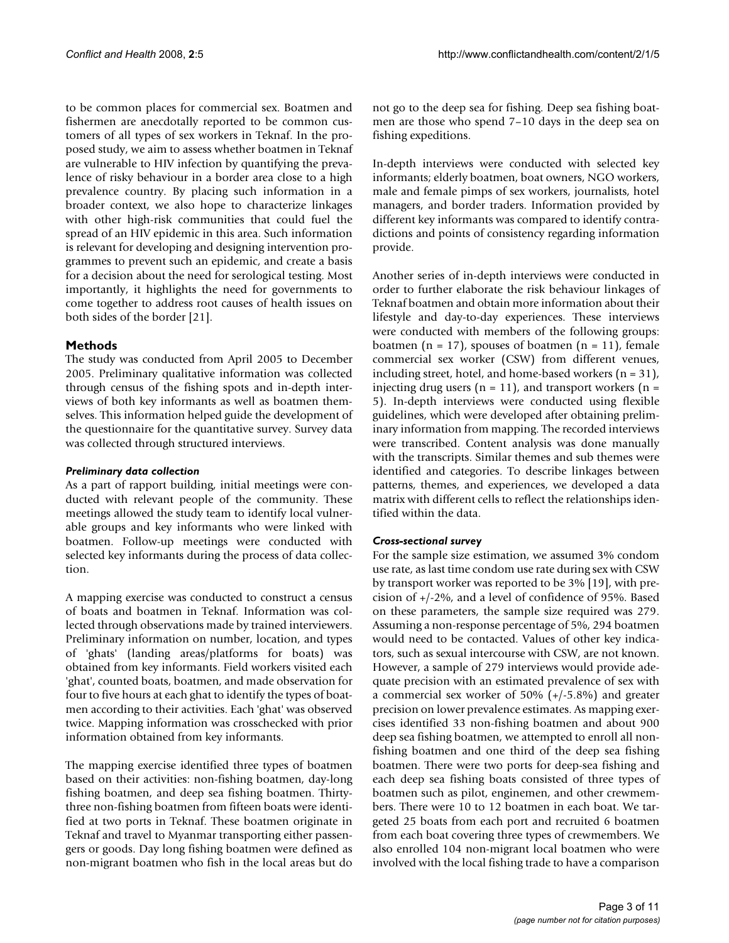to be common places for commercial sex. Boatmen and fishermen are anecdotally reported to be common customers of all types of sex workers in Teknaf. In the proposed study, we aim to assess whether boatmen in Teknaf are vulnerable to HIV infection by quantifying the prevalence of risky behaviour in a border area close to a high prevalence country. By placing such information in a broader context, we also hope to characterize linkages with other high-risk communities that could fuel the spread of an HIV epidemic in this area. Such information is relevant for developing and designing intervention programmes to prevent such an epidemic, and create a basis for a decision about the need for serological testing. Most importantly, it highlights the need for governments to come together to address root causes of health issues on both sides of the border [21].

## **Methods**

The study was conducted from April 2005 to December 2005. Preliminary qualitative information was collected through census of the fishing spots and in-depth interviews of both key informants as well as boatmen themselves. This information helped guide the development of the questionnaire for the quantitative survey. Survey data was collected through structured interviews.

## *Preliminary data collection*

As a part of rapport building, initial meetings were conducted with relevant people of the community. These meetings allowed the study team to identify local vulnerable groups and key informants who were linked with boatmen. Follow-up meetings were conducted with selected key informants during the process of data collection.

A mapping exercise was conducted to construct a census of boats and boatmen in Teknaf. Information was collected through observations made by trained interviewers. Preliminary information on number, location, and types of 'ghats' (landing areas/platforms for boats) was obtained from key informants. Field workers visited each 'ghat', counted boats, boatmen, and made observation for four to five hours at each ghat to identify the types of boatmen according to their activities. Each 'ghat' was observed twice. Mapping information was crosschecked with prior information obtained from key informants.

The mapping exercise identified three types of boatmen based on their activities: non-fishing boatmen, day-long fishing boatmen, and deep sea fishing boatmen. Thirtythree non-fishing boatmen from fifteen boats were identified at two ports in Teknaf. These boatmen originate in Teknaf and travel to Myanmar transporting either passengers or goods. Day long fishing boatmen were defined as non-migrant boatmen who fish in the local areas but do not go to the deep sea for fishing. Deep sea fishing boatmen are those who spend 7–10 days in the deep sea on fishing expeditions.

In-depth interviews were conducted with selected key informants; elderly boatmen, boat owners, NGO workers, male and female pimps of sex workers, journalists, hotel managers, and border traders. Information provided by different key informants was compared to identify contradictions and points of consistency regarding information provide.

Another series of in-depth interviews were conducted in order to further elaborate the risk behaviour linkages of Teknaf boatmen and obtain more information about their lifestyle and day-to-day experiences. These interviews were conducted with members of the following groups: boatmen (n = 17), spouses of boatmen (n = 11), female commercial sex worker (CSW) from different venues, including street, hotel, and home-based workers  $(n = 31)$ , injecting drug users ( $n = 11$ ), and transport workers ( $n =$ 5). In-depth interviews were conducted using flexible guidelines, which were developed after obtaining preliminary information from mapping. The recorded interviews were transcribed. Content analysis was done manually with the transcripts. Similar themes and sub themes were identified and categories. To describe linkages between patterns, themes, and experiences, we developed a data matrix with different cells to reflect the relationships identified within the data.

## *Cross-sectional survey*

For the sample size estimation, we assumed 3% condom use rate, as last time condom use rate during sex with CSW by transport worker was reported to be 3% [19], with precision of +/-2%, and a level of confidence of 95%. Based on these parameters, the sample size required was 279. Assuming a non-response percentage of 5%, 294 boatmen would need to be contacted. Values of other key indicators, such as sexual intercourse with CSW, are not known. However, a sample of 279 interviews would provide adequate precision with an estimated prevalence of sex with a commercial sex worker of 50% (+/-5.8%) and greater precision on lower prevalence estimates. As mapping exercises identified 33 non-fishing boatmen and about 900 deep sea fishing boatmen, we attempted to enroll all nonfishing boatmen and one third of the deep sea fishing boatmen. There were two ports for deep-sea fishing and each deep sea fishing boats consisted of three types of boatmen such as pilot, enginemen, and other crewmembers. There were 10 to 12 boatmen in each boat. We targeted 25 boats from each port and recruited 6 boatmen from each boat covering three types of crewmembers. We also enrolled 104 non-migrant local boatmen who were involved with the local fishing trade to have a comparison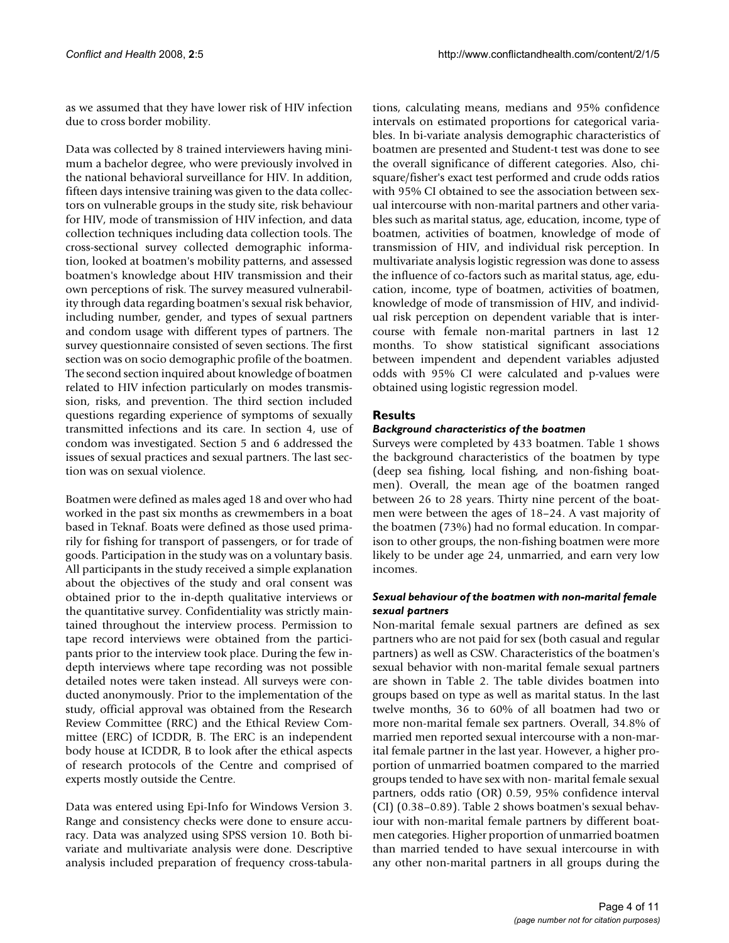as we assumed that they have lower risk of HIV infection due to cross border mobility.

Data was collected by 8 trained interviewers having minimum a bachelor degree, who were previously involved in the national behavioral surveillance for HIV. In addition, fifteen days intensive training was given to the data collectors on vulnerable groups in the study site, risk behaviour for HIV, mode of transmission of HIV infection, and data collection techniques including data collection tools. The cross-sectional survey collected demographic information, looked at boatmen's mobility patterns, and assessed boatmen's knowledge about HIV transmission and their own perceptions of risk. The survey measured vulnerability through data regarding boatmen's sexual risk behavior, including number, gender, and types of sexual partners and condom usage with different types of partners. The survey questionnaire consisted of seven sections. The first section was on socio demographic profile of the boatmen. The second section inquired about knowledge of boatmen related to HIV infection particularly on modes transmission, risks, and prevention. The third section included questions regarding experience of symptoms of sexually transmitted infections and its care. In section 4, use of condom was investigated. Section 5 and 6 addressed the issues of sexual practices and sexual partners. The last section was on sexual violence.

Boatmen were defined as males aged 18 and over who had worked in the past six months as crewmembers in a boat based in Teknaf. Boats were defined as those used primarily for fishing for transport of passengers, or for trade of goods. Participation in the study was on a voluntary basis. All participants in the study received a simple explanation about the objectives of the study and oral consent was obtained prior to the in-depth qualitative interviews or the quantitative survey. Confidentiality was strictly maintained throughout the interview process. Permission to tape record interviews were obtained from the participants prior to the interview took place. During the few indepth interviews where tape recording was not possible detailed notes were taken instead. All surveys were conducted anonymously. Prior to the implementation of the study, official approval was obtained from the Research Review Committee (RRC) and the Ethical Review Committee (ERC) of ICDDR, B. The ERC is an independent body house at ICDDR, B to look after the ethical aspects of research protocols of the Centre and comprised of experts mostly outside the Centre.

Data was entered using Epi-Info for Windows Version 3. Range and consistency checks were done to ensure accuracy. Data was analyzed using SPSS version 10. Both bivariate and multivariate analysis were done. Descriptive analysis included preparation of frequency cross-tabulations, calculating means, medians and 95% confidence intervals on estimated proportions for categorical variables. In bi-variate analysis demographic characteristics of boatmen are presented and Student-t test was done to see the overall significance of different categories. Also, chisquare/fisher's exact test performed and crude odds ratios with 95% CI obtained to see the association between sexual intercourse with non-marital partners and other variables such as marital status, age, education, income, type of boatmen, activities of boatmen, knowledge of mode of transmission of HIV, and individual risk perception. In multivariate analysis logistic regression was done to assess the influence of co-factors such as marital status, age, education, income, type of boatmen, activities of boatmen, knowledge of mode of transmission of HIV, and individual risk perception on dependent variable that is intercourse with female non-marital partners in last 12 months. To show statistical significant associations between impendent and dependent variables adjusted odds with 95% CI were calculated and p-values were obtained using logistic regression model.

## **Results**

## *Background characteristics of the boatmen*

Surveys were completed by 433 boatmen. Table 1 shows the background characteristics of the boatmen by type (deep sea fishing, local fishing, and non-fishing boatmen). Overall, the mean age of the boatmen ranged between 26 to 28 years. Thirty nine percent of the boatmen were between the ages of 18–24. A vast majority of the boatmen (73%) had no formal education. In comparison to other groups, the non-fishing boatmen were more likely to be under age 24, unmarried, and earn very low incomes.

## *Sexual behaviour of the boatmen with non-marital female sexual partners*

Non-marital female sexual partners are defined as sex partners who are not paid for sex (both casual and regular partners) as well as CSW. Characteristics of the boatmen's sexual behavior with non-marital female sexual partners are shown in Table 2. The table divides boatmen into groups based on type as well as marital status. In the last twelve months, 36 to 60% of all boatmen had two or more non-marital female sex partners. Overall, 34.8% of married men reported sexual intercourse with a non-marital female partner in the last year. However, a higher proportion of unmarried boatmen compared to the married groups tended to have sex with non- marital female sexual partners, odds ratio (OR) 0.59, 95% confidence interval (CI) (0.38–0.89). Table 2 shows boatmen's sexual behaviour with non-marital female partners by different boatmen categories. Higher proportion of unmarried boatmen than married tended to have sexual intercourse in with any other non-marital partners in all groups during the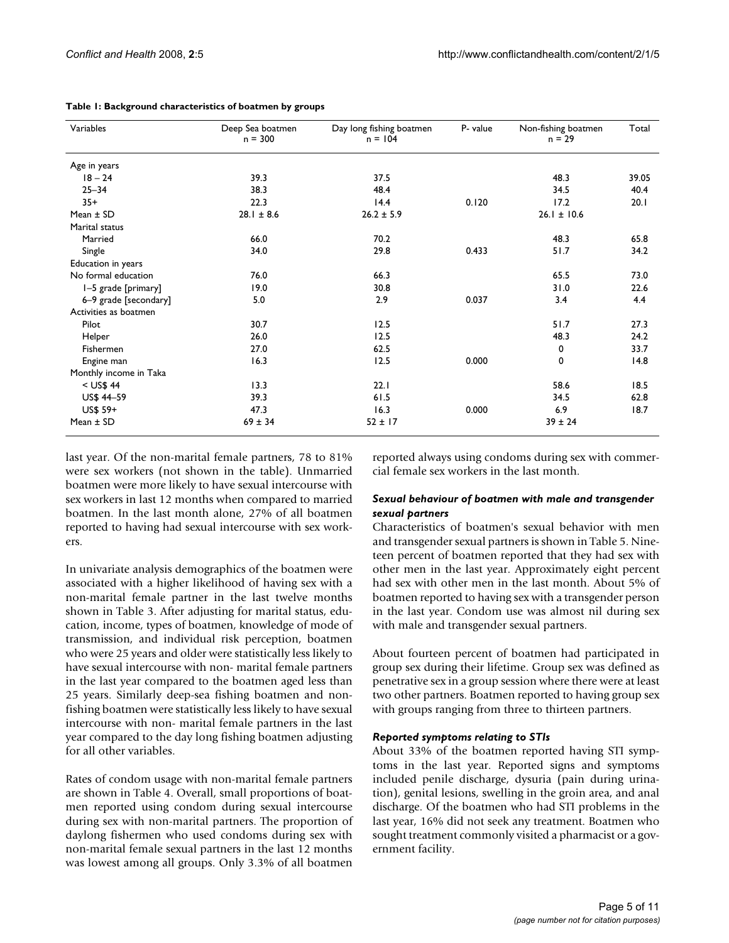| Variables              | Deep Sea boatmen<br>$n = 300$ | Day long fishing boatmen<br>$n = 104$ | P- value | Non-fishing boatmen<br>$n = 29$ | Total |
|------------------------|-------------------------------|---------------------------------------|----------|---------------------------------|-------|
| Age in years           |                               |                                       |          |                                 |       |
| $18 - 24$              | 39.3                          | 37.5                                  |          | 48.3                            | 39.05 |
| $25 - 34$              | 38.3                          | 48.4                                  |          | 34.5                            | 40.4  |
| $35+$                  | 22.3                          | 14.4                                  | 0.120    | 17.2                            | 20.1  |
| Mean $\pm$ SD          | $28.1 \pm 8.6$                | $26.2 \pm 5.9$                        |          | $26.1 \pm 10.6$                 |       |
| Marital status         |                               |                                       |          |                                 |       |
| Married                | 66.0                          | 70.2                                  |          | 48.3                            | 65.8  |
| Single                 | 34.0                          | 29.8                                  | 0.433    | 51.7                            | 34.2  |
| Education in years     |                               |                                       |          |                                 |       |
| No formal education    | 76.0                          | 66.3                                  |          | 65.5                            | 73.0  |
| I-5 grade [primary]    | 19.0                          | 30.8                                  |          | 31.0                            | 22.6  |
| 6-9 grade [secondary]  | 5.0                           | 2.9                                   | 0.037    | 3.4                             | 4.4   |
| Activities as boatmen  |                               |                                       |          |                                 |       |
| Pilot                  | 30.7                          | 12.5                                  |          | 51.7                            | 27.3  |
| Helper                 | 26.0                          | 12.5                                  |          | 48.3                            | 24.2  |
| Fishermen              | 27.0                          | 62.5                                  |          | 0                               | 33.7  |
| Engine man             | 16.3                          | 12.5                                  | 0.000    | 0                               | 14.8  |
| Monthly income in Taka |                               |                                       |          |                                 |       |
| $<$ US\$ 44            | 13.3                          | 22.1                                  |          | 58.6                            | 18.5  |
| US\$ 44-59             | 39.3                          | 61.5                                  |          | 34.5                            | 62.8  |
| $US$59+$               | 47.3                          | 16.3                                  | 0.000    | 6.9                             | 18.7  |
| Mean $\pm$ SD          | $69 \pm 34$                   | $52 \pm 17$                           |          | $39 \pm 24$                     |       |

#### **Table 1: Background characteristics of boatmen by groups**

last year. Of the non-marital female partners, 78 to 81% were sex workers (not shown in the table). Unmarried boatmen were more likely to have sexual intercourse with sex workers in last 12 months when compared to married boatmen. In the last month alone, 27% of all boatmen reported to having had sexual intercourse with sex workers.

In univariate analysis demographics of the boatmen were associated with a higher likelihood of having sex with a non-marital female partner in the last twelve months shown in Table 3. After adjusting for marital status, education, income, types of boatmen, knowledge of mode of transmission, and individual risk perception, boatmen who were 25 years and older were statistically less likely to have sexual intercourse with non- marital female partners in the last year compared to the boatmen aged less than 25 years. Similarly deep-sea fishing boatmen and nonfishing boatmen were statistically less likely to have sexual intercourse with non- marital female partners in the last year compared to the day long fishing boatmen adjusting for all other variables.

Rates of condom usage with non-marital female partners are shown in Table 4. Overall, small proportions of boatmen reported using condom during sexual intercourse during sex with non-marital partners. The proportion of daylong fishermen who used condoms during sex with non-marital female sexual partners in the last 12 months was lowest among all groups. Only 3.3% of all boatmen

reported always using condoms during sex with commercial female sex workers in the last month.

## *Sexual behaviour of boatmen with male and transgender sexual partners*

Characteristics of boatmen's sexual behavior with men and transgender sexual partners is shown in Table 5. Nineteen percent of boatmen reported that they had sex with other men in the last year. Approximately eight percent had sex with other men in the last month. About 5% of boatmen reported to having sex with a transgender person in the last year. Condom use was almost nil during sex with male and transgender sexual partners.

About fourteen percent of boatmen had participated in group sex during their lifetime. Group sex was defined as penetrative sex in a group session where there were at least two other partners. Boatmen reported to having group sex with groups ranging from three to thirteen partners.

#### *Reported symptoms relating to STIs*

About 33% of the boatmen reported having STI symptoms in the last year. Reported signs and symptoms included penile discharge, dysuria (pain during urination), genital lesions, swelling in the groin area, and anal discharge. Of the boatmen who had STI problems in the last year, 16% did not seek any treatment. Boatmen who sought treatment commonly visited a pharmacist or a government facility.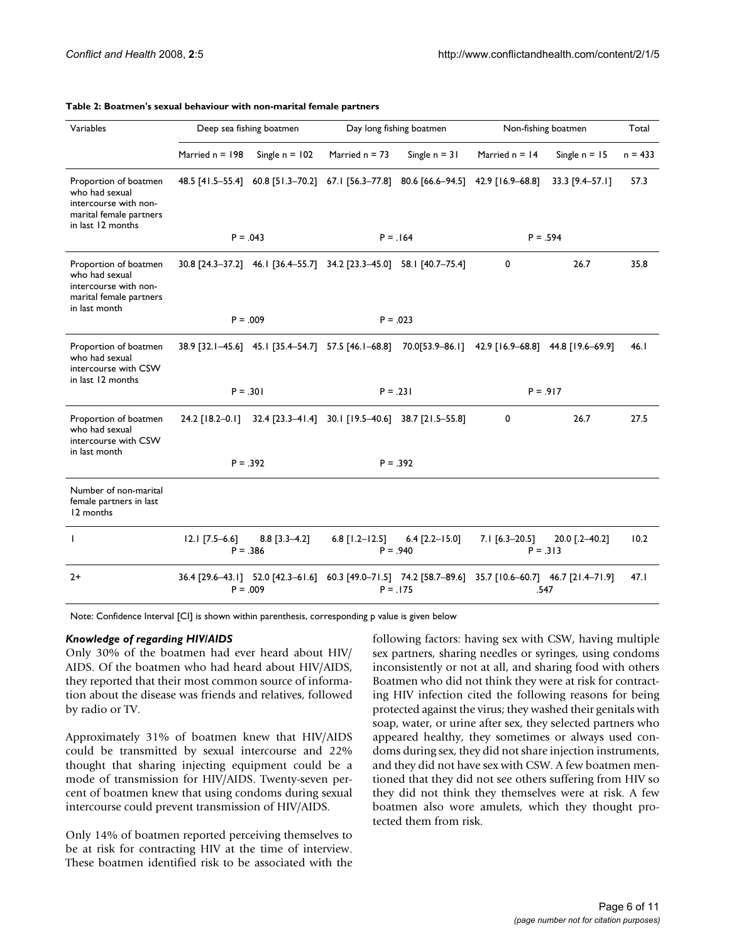| Variables                                                                                                        | Deep sea fishing boatmen |                                                                     | Day long fishing boatmen          |                                                                                                                    | Non-fishing boatmen |                              | Total     |
|------------------------------------------------------------------------------------------------------------------|--------------------------|---------------------------------------------------------------------|-----------------------------------|--------------------------------------------------------------------------------------------------------------------|---------------------|------------------------------|-----------|
|                                                                                                                  | Married n = 198          | Single $n = 102$                                                    | Married $n = 73$                  | Single $n = 31$                                                                                                    | Married $n = 14$    | Single $n = 15$              | $n = 433$ |
| Proportion of boatmen<br>who had sexual<br>intercourse with non-<br>marital female partners<br>in last 12 months |                          |                                                                     |                                   | 48.5 [41.5-55.4] 60.8 [51.3-70.2] 67.1 [56.3-77.8] 80.6 [66.6-94.5] 42.9 [16.9-68.8]                               |                     | 33.3 [9.4-57.1]              | 57.3      |
|                                                                                                                  | $P = .043$               |                                                                     | $P = 164$                         |                                                                                                                    | $P = .594$          |                              |           |
| Proportion of boatmen<br>who had sexual<br>intercourse with non-<br>marital female partners<br>in last month     |                          | 30.8 [24.3-37.2] 46.1 [36.4-55.7] 34.2 [23.3-45.0] 58.1 [40.7-75.4] |                                   |                                                                                                                    | 0                   | 26.7                         | 35.8      |
|                                                                                                                  | $P = 0.009$              |                                                                     | $P = .023$                        |                                                                                                                    |                     |                              |           |
| Proportion of boatmen<br>who had sexual<br>intercourse with CSW                                                  |                          |                                                                     |                                   | 38.9 [32.1-45.6] 45.1 [35.4-54.7] 57.5 [46.1-68.8] 70.0[53.9-86.1] 42.9 [16.9-68.8] 44.8 [19.6-69.9]               |                     |                              | 46.1      |
| in last 12 months                                                                                                | $P = .301$               |                                                                     | $P = .231$                        |                                                                                                                    | $P = .917$          |                              |           |
| Proportion of boatmen<br>who had sexual<br>intercourse with CSW                                                  | 24.2 [18.2-0.1]          |                                                                     | 32.4 [23.3-41.4] 30.1 [19.5-40.6] | 38.7 [21.5-55.8]                                                                                                   | 0                   | 26.7                         | 27.5      |
| in last month                                                                                                    | $P = .392$               |                                                                     | $P = .392$                        |                                                                                                                    |                     |                              |           |
| Number of non-marital<br>female partners in last<br>12 months                                                    |                          |                                                                     |                                   |                                                                                                                    |                     |                              |           |
|                                                                                                                  | $12.1$ [7.5–6.6]         | $8.8$ [3.3-4.2]<br>$P = .386$                                       | 6.8 $[1.2 - 12.5]$                | $6.4$ [2.2-15.0]<br>$P = .940$                                                                                     | $7.1$ [6.3-20.5]    | 20.0 [.2-40.2]<br>$P = .313$ | 10.2      |
| $2+$                                                                                                             |                          | $P = .009$                                                          |                                   | 36.4 [29.6-43.1] 52.0 [42.3-61.6] 60.3 [49.0-71.5] 74.2 [58.7-89.6] 35.7 [10.6-60.7] 46.7 [21.4-71.9]<br>$P = 175$ |                     | .547                         | 47.1      |

#### **Table 2: Boatmen's sexual behaviour with non-marital female partners**

Note: Confidence Interval [CI] is shown within parenthesis, corresponding p value is given below

#### *Knowledge of regarding HIV/AIDS*

Only 30% of the boatmen had ever heard about HIV/ AIDS. Of the boatmen who had heard about HIV/AIDS, they reported that their most common source of information about the disease was friends and relatives, followed by radio or TV.

Approximately 31% of boatmen knew that HIV/AIDS could be transmitted by sexual intercourse and 22% thought that sharing injecting equipment could be a mode of transmission for HIV/AIDS. Twenty-seven percent of boatmen knew that using condoms during sexual intercourse could prevent transmission of HIV/AIDS.

Only 14% of boatmen reported perceiving themselves to be at risk for contracting HIV at the time of interview. These boatmen identified risk to be associated with the following factors: having sex with CSW, having multiple sex partners, sharing needles or syringes, using condoms inconsistently or not at all, and sharing food with others Boatmen who did not think they were at risk for contracting HIV infection cited the following reasons for being protected against the virus; they washed their genitals with soap, water, or urine after sex, they selected partners who appeared healthy, they sometimes or always used condoms during sex, they did not share injection instruments, and they did not have sex with CSW. A few boatmen mentioned that they did not see others suffering from HIV so they did not think they themselves were at risk. A few boatmen also wore amulets, which they thought protected them from risk.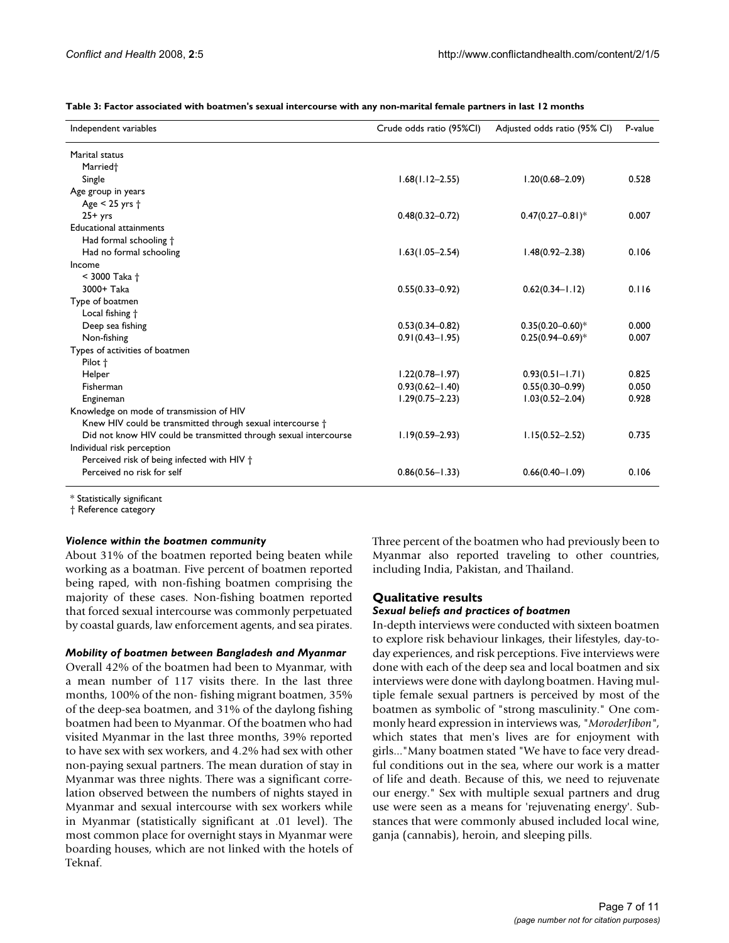| Independent variables                                                 | Crude odds ratio (95%CI) | Adjusted odds ratio (95% CI) | P-value |
|-----------------------------------------------------------------------|--------------------------|------------------------------|---------|
| Marital status                                                        |                          |                              |         |
| Married <sup>+</sup>                                                  |                          |                              |         |
| Single                                                                | $1.68(1.12 - 2.55)$      | $1.20(0.68 - 2.09)$          | 0.528   |
| Age group in years                                                    |                          |                              |         |
| Age $<$ 25 yrs $+$                                                    |                          |                              |         |
| $25+yrs$                                                              | $0.48(0.32 - 0.72)$      | $0.47(0.27 - 0.81)^*$        | 0.007   |
| <b>Educational attainments</b>                                        |                          |                              |         |
| Had formal schooling <sup>+</sup>                                     |                          |                              |         |
| Had no formal schooling                                               | $1.63(1.05 - 2.54)$      | $1.48(0.92 - 2.38)$          | 0.106   |
| Income                                                                |                          |                              |         |
| $<$ 3000 Taka $\dagger$                                               |                          |                              |         |
| 3000+ Taka                                                            | $0.55(0.33 - 0.92)$      | $0.62(0.34 - 1.12)$          | 0.116   |
| Type of boatmen                                                       |                          |                              |         |
| Local fishing +                                                       |                          |                              |         |
| Deep sea fishing                                                      | $0.53(0.34 - 0.82)$      | $0.35(0.20 - 0.60)$ *        | 0.000   |
| Non-fishing                                                           | $0.91(0.43 - 1.95)$      | $0.25(0.94 - 0.69)^*$        | 0.007   |
| Types of activities of boatmen                                        |                          |                              |         |
| Pilot +                                                               |                          |                              |         |
| Helper                                                                | $1.22(0.78 - 1.97)$      | $0.93(0.51 - 1.71)$          | 0.825   |
| Fisherman                                                             | $0.93(0.62 - 1.40)$      | $0.55(0.30 - 0.99)$          | 0.050   |
| Engineman                                                             | $1.29(0.75 - 2.23)$      | $1.03(0.52 - 2.04)$          | 0.928   |
| Knowledge on mode of transmission of HIV                              |                          |                              |         |
| Knew HIV could be transmitted through sexual intercourse <sup>+</sup> |                          |                              |         |
| Did not know HIV could be transmitted through sexual intercourse      | $1.19(0.59 - 2.93)$      | $1.15(0.52 - 2.52)$          | 0.735   |
| Individual risk perception                                            |                          |                              |         |
| Perceived risk of being infected with HIV +                           |                          |                              |         |
| Perceived no risk for self                                            | $0.86(0.56 - 1.33)$      | $0.66(0.40 - 1.09)$          | 0.106   |

**Table 3: Factor associated with boatmen's sexual intercourse with any non-marital female partners in last 12 months**

\* Statistically significant

† Reference category

#### *Violence within the boatmen community*

About 31% of the boatmen reported being beaten while working as a boatman. Five percent of boatmen reported being raped, with non-fishing boatmen comprising the majority of these cases. Non-fishing boatmen reported that forced sexual intercourse was commonly perpetuated by coastal guards, law enforcement agents, and sea pirates.

#### *Mobility of boatmen between Bangladesh and Myanmar*

Overall 42% of the boatmen had been to Myanmar, with a mean number of 117 visits there. In the last three months, 100% of the non- fishing migrant boatmen, 35% of the deep-sea boatmen, and 31% of the daylong fishing boatmen had been to Myanmar. Of the boatmen who had visited Myanmar in the last three months, 39% reported to have sex with sex workers, and 4.2% had sex with other non-paying sexual partners. The mean duration of stay in Myanmar was three nights. There was a significant correlation observed between the numbers of nights stayed in Myanmar and sexual intercourse with sex workers while in Myanmar (statistically significant at .01 level). The most common place for overnight stays in Myanmar were boarding houses, which are not linked with the hotels of Teknaf.

Three percent of the boatmen who had previously been to Myanmar also reported traveling to other countries, including India, Pakistan, and Thailand.

## **Qualitative results**

## *Sexual beliefs and practices of boatmen*

In-depth interviews were conducted with sixteen boatmen to explore risk behaviour linkages, their lifestyles, day-today experiences, and risk perceptions. Five interviews were done with each of the deep sea and local boatmen and six interviews were done with daylong boatmen. Having multiple female sexual partners is perceived by most of the boatmen as symbolic of "strong masculinity." One commonly heard expression in interviews was, "*MoroderJibon"*, which states that men's lives are for enjoyment with girls..."Many boatmen stated "We have to face very dreadful conditions out in the sea, where our work is a matter of life and death. Because of this, we need to rejuvenate our energy." Sex with multiple sexual partners and drug use were seen as a means for 'rejuvenating energy'. Substances that were commonly abused included local wine, ganja (cannabis), heroin, and sleeping pills.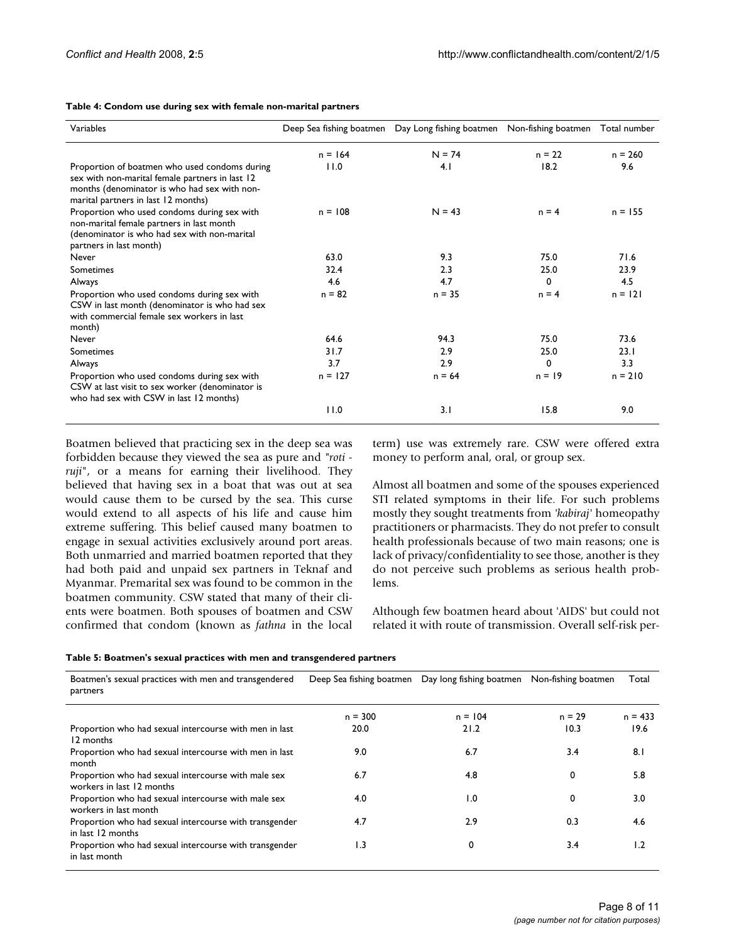| Table 4: Condom use during sex with female non-marital partners |  |
|-----------------------------------------------------------------|--|
|-----------------------------------------------------------------|--|

| Variables                                                                                                                                                                               |           | Deep Sea fishing boatmen Day Long fishing boatmen Non-fishing boatmen Total number |          |           |
|-----------------------------------------------------------------------------------------------------------------------------------------------------------------------------------------|-----------|------------------------------------------------------------------------------------|----------|-----------|
|                                                                                                                                                                                         | $n = 164$ | $N = 74$                                                                           | $n = 22$ | $n = 260$ |
| Proportion of boatmen who used condoms during<br>sex with non-marital female partners in last 12<br>months (denominator is who had sex with non-<br>marital partners in last 12 months) | 11.0      | 4.1                                                                                | 18.2     | 9.6       |
| Proportion who used condoms during sex with<br>non-marital female partners in last month<br>(denominator is who had sex with non-marital<br>partners in last month)                     | $n = 108$ | $N = 43$                                                                           | $n = 4$  | $n = 155$ |
| Never                                                                                                                                                                                   | 63.0      | 9.3                                                                                | 75.0     | 71.6      |
| Sometimes                                                                                                                                                                               | 32.4      | 2.3                                                                                | 25.0     | 23.9      |
| Always                                                                                                                                                                                  | 4.6       | 4.7                                                                                | $\Omega$ | 4.5       |
| Proportion who used condoms during sex with<br>CSW in last month (denominator is who had sex<br>with commercial female sex workers in last<br>month)                                    | $n = 82$  | $n = 35$                                                                           | $n = 4$  | $n = 121$ |
| Never                                                                                                                                                                                   | 64.6      | 94.3                                                                               | 75.0     | 73.6      |
| Sometimes                                                                                                                                                                               | 31.7      | 2.9                                                                                | 25.0     | 23.1      |
| Always                                                                                                                                                                                  | 3.7       | 2.9                                                                                | 0        | 3.3       |
| Proportion who used condoms during sex with<br>CSW at last visit to sex worker (denominator is<br>who had sex with CSW in last 12 months)                                               | $n = 127$ | $n = 64$                                                                           | $n = 19$ | $n = 210$ |
|                                                                                                                                                                                         | 11.0      | 3.1                                                                                | 15.8     | 9.0       |

Boatmen believed that practicing sex in the deep sea was forbidden because they viewed the sea as pure and *"roti ruji*", or a means for earning their livelihood. They believed that having sex in a boat that was out at sea would cause them to be cursed by the sea. This curse would extend to all aspects of his life and cause him extreme suffering. This belief caused many boatmen to engage in sexual activities exclusively around port areas. Both unmarried and married boatmen reported that they had both paid and unpaid sex partners in Teknaf and Myanmar. Premarital sex was found to be common in the boatmen community. CSW stated that many of their clients were boatmen. Both spouses of boatmen and CSW confirmed that condom (known as *fathna* in the local

term) use was extremely rare. CSW were offered extra money to perform anal, oral, or group sex.

Almost all boatmen and some of the spouses experienced STI related symptoms in their life. For such problems mostly they sought treatments from *'kabiraj'* homeopathy practitioners or pharmacists. They do not prefer to consult health professionals because of two main reasons; one is lack of privacy/confidentiality to see those, another is they do not perceive such problems as serious health problems.

Although few boatmen heard about 'AIDS' but could not related it with route of transmission. Overall self-risk per-

| Boatmen's sexual practices with men and transgendered<br>partners                | Deep Sea fishing boatmen | Day long fishing boatmen Non-fishing boatmen |          | Total     |
|----------------------------------------------------------------------------------|--------------------------|----------------------------------------------|----------|-----------|
|                                                                                  | $n = 300$                | $n = 104$                                    | $n = 29$ | $n = 433$ |
| Proportion who had sexual intercourse with men in last<br>12 months              | 20.0                     | 21.2                                         | 10.3     | 19.6      |
| Proportion who had sexual intercourse with men in last<br>month                  | 9.0                      | 6.7                                          | 3.4      | 8.1       |
| Proportion who had sexual intercourse with male sex<br>workers in last 12 months | 6.7                      | 4.8                                          | $\Omega$ | 5.8       |
| Proportion who had sexual intercourse with male sex<br>workers in last month     | 4.0                      | 1.0                                          | $\Omega$ | 3.0       |
| Proportion who had sexual intercourse with transgender<br>in last 12 months      | 4.7                      | 2.9                                          | 0.3      | 4.6       |
| Proportion who had sexual intercourse with transgender<br>in last month          | 1.3                      | 0                                            | 3.4      | 1.2       |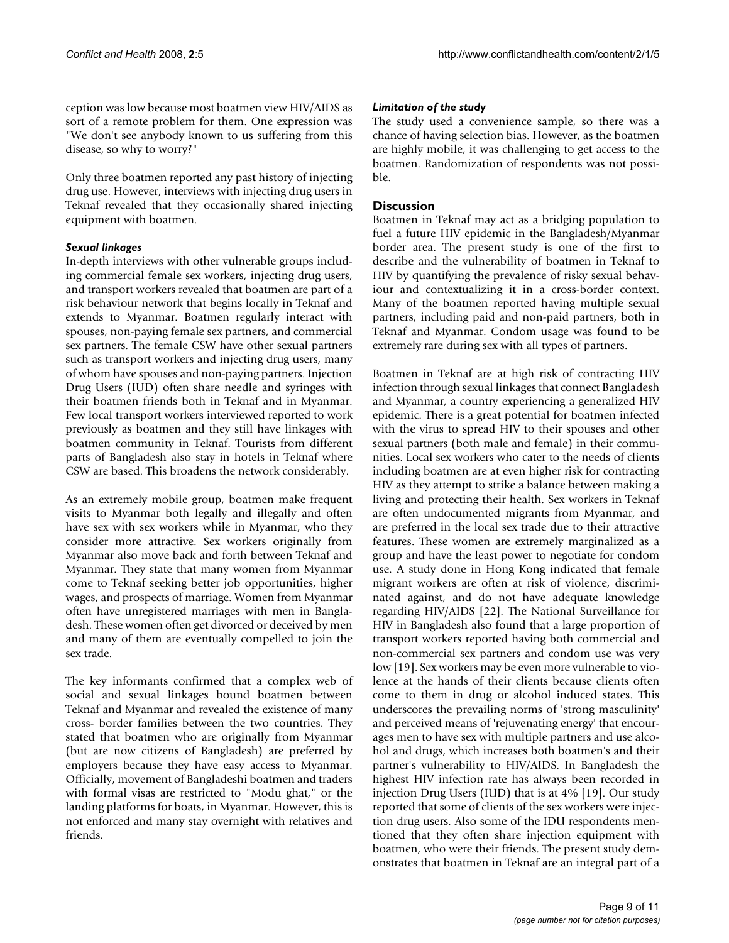ception was low because most boatmen view HIV/AIDS as sort of a remote problem for them. One expression was "We don't see anybody known to us suffering from this disease, so why to worry?"

Only three boatmen reported any past history of injecting drug use. However, interviews with injecting drug users in Teknaf revealed that they occasionally shared injecting equipment with boatmen.

## *Sexual linkages*

In-depth interviews with other vulnerable groups including commercial female sex workers, injecting drug users, and transport workers revealed that boatmen are part of a risk behaviour network that begins locally in Teknaf and extends to Myanmar. Boatmen regularly interact with spouses, non-paying female sex partners, and commercial sex partners. The female CSW have other sexual partners such as transport workers and injecting drug users, many of whom have spouses and non-paying partners. Injection Drug Users (IUD) often share needle and syringes with their boatmen friends both in Teknaf and in Myanmar. Few local transport workers interviewed reported to work previously as boatmen and they still have linkages with boatmen community in Teknaf. Tourists from different parts of Bangladesh also stay in hotels in Teknaf where CSW are based. This broadens the network considerably.

As an extremely mobile group, boatmen make frequent visits to Myanmar both legally and illegally and often have sex with sex workers while in Myanmar, who they consider more attractive. Sex workers originally from Myanmar also move back and forth between Teknaf and Myanmar. They state that many women from Myanmar come to Teknaf seeking better job opportunities, higher wages, and prospects of marriage. Women from Myanmar often have unregistered marriages with men in Bangladesh. These women often get divorced or deceived by men and many of them are eventually compelled to join the sex trade.

The key informants confirmed that a complex web of social and sexual linkages bound boatmen between Teknaf and Myanmar and revealed the existence of many cross- border families between the two countries. They stated that boatmen who are originally from Myanmar (but are now citizens of Bangladesh) are preferred by employers because they have easy access to Myanmar. Officially, movement of Bangladeshi boatmen and traders with formal visas are restricted to "Modu ghat," or the landing platforms for boats, in Myanmar. However, this is not enforced and many stay overnight with relatives and friends.

## *Limitation of the study*

The study used a convenience sample, so there was a chance of having selection bias. However, as the boatmen are highly mobile, it was challenging to get access to the boatmen. Randomization of respondents was not possible.

## **Discussion**

Boatmen in Teknaf may act as a bridging population to fuel a future HIV epidemic in the Bangladesh/Myanmar border area. The present study is one of the first to describe and the vulnerability of boatmen in Teknaf to HIV by quantifying the prevalence of risky sexual behaviour and contextualizing it in a cross-border context. Many of the boatmen reported having multiple sexual partners, including paid and non-paid partners, both in Teknaf and Myanmar. Condom usage was found to be extremely rare during sex with all types of partners.

Boatmen in Teknaf are at high risk of contracting HIV infection through sexual linkages that connect Bangladesh and Myanmar, a country experiencing a generalized HIV epidemic. There is a great potential for boatmen infected with the virus to spread HIV to their spouses and other sexual partners (both male and female) in their communities. Local sex workers who cater to the needs of clients including boatmen are at even higher risk for contracting HIV as they attempt to strike a balance between making a living and protecting their health. Sex workers in Teknaf are often undocumented migrants from Myanmar, and are preferred in the local sex trade due to their attractive features. These women are extremely marginalized as a group and have the least power to negotiate for condom use. A study done in Hong Kong indicated that female migrant workers are often at risk of violence, discriminated against, and do not have adequate knowledge regarding HIV/AIDS [22]. The National Surveillance for HIV in Bangladesh also found that a large proportion of transport workers reported having both commercial and non-commercial sex partners and condom use was very low [19]. Sex workers may be even more vulnerable to violence at the hands of their clients because clients often come to them in drug or alcohol induced states. This underscores the prevailing norms of 'strong masculinity' and perceived means of 'rejuvenating energy' that encourages men to have sex with multiple partners and use alcohol and drugs, which increases both boatmen's and their partner's vulnerability to HIV/AIDS. In Bangladesh the highest HIV infection rate has always been recorded in injection Drug Users (IUD) that is at 4% [19]. Our study reported that some of clients of the sex workers were injection drug users. Also some of the IDU respondents mentioned that they often share injection equipment with boatmen, who were their friends. The present study demonstrates that boatmen in Teknaf are an integral part of a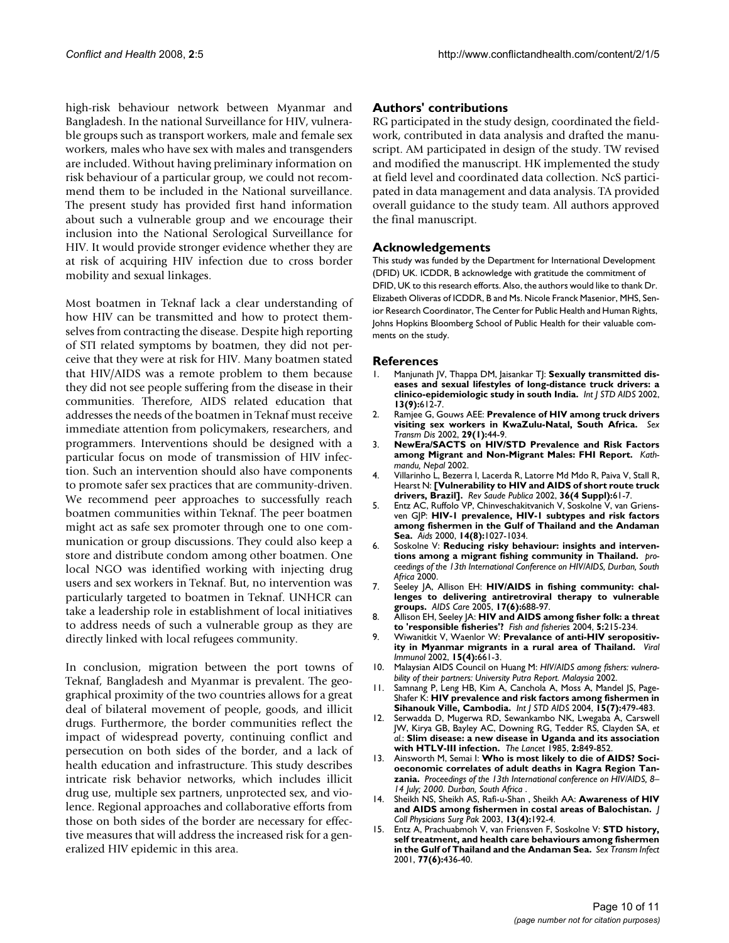high-risk behaviour network between Myanmar and Bangladesh. In the national Surveillance for HIV, vulnerable groups such as transport workers, male and female sex workers, males who have sex with males and transgenders are included. Without having preliminary information on risk behaviour of a particular group, we could not recommend them to be included in the National surveillance. The present study has provided first hand information about such a vulnerable group and we encourage their inclusion into the National Serological Surveillance for HIV. It would provide stronger evidence whether they are at risk of acquiring HIV infection due to cross border mobility and sexual linkages.

Most boatmen in Teknaf lack a clear understanding of how HIV can be transmitted and how to protect themselves from contracting the disease. Despite high reporting of STI related symptoms by boatmen, they did not perceive that they were at risk for HIV. Many boatmen stated that HIV/AIDS was a remote problem to them because they did not see people suffering from the disease in their communities. Therefore, AIDS related education that addresses the needs of the boatmen in Teknaf must receive immediate attention from policymakers, researchers, and programmers. Interventions should be designed with a particular focus on mode of transmission of HIV infection. Such an intervention should also have components to promote safer sex practices that are community-driven. We recommend peer approaches to successfully reach boatmen communities within Teknaf. The peer boatmen might act as safe sex promoter through one to one communication or group discussions. They could also keep a store and distribute condom among other boatmen. One local NGO was identified working with injecting drug users and sex workers in Teknaf. But, no intervention was particularly targeted to boatmen in Teknaf. UNHCR can take a leadership role in establishment of local initiatives to address needs of such a vulnerable group as they are directly linked with local refugees community.

In conclusion, migration between the port towns of Teknaf, Bangladesh and Myanmar is prevalent. The geographical proximity of the two countries allows for a great deal of bilateral movement of people, goods, and illicit drugs. Furthermore, the border communities reflect the impact of widespread poverty, continuing conflict and persecution on both sides of the border, and a lack of health education and infrastructure. This study describes intricate risk behavior networks, which includes illicit drug use, multiple sex partners, unprotected sex, and violence. Regional approaches and collaborative efforts from those on both sides of the border are necessary for effective measures that will address the increased risk for a generalized HIV epidemic in this area.

#### **Authors' contributions**

RG participated in the study design, coordinated the fieldwork, contributed in data analysis and drafted the manuscript. AM participated in design of the study. TW revised and modified the manuscript. HK implemented the study at field level and coordinated data collection. NcS participated in data management and data analysis. TA provided overall guidance to the study team. All authors approved the final manuscript.

#### **Acknowledgements**

This study was funded by the Department for International Development (DFID) UK. ICDDR, B acknowledge with gratitude the commitment of DFID, UK to this research efforts. Also, the authors would like to thank Dr. Elizabeth Oliveras of ICDDR, B and Ms. Nicole Franck Masenior, MHS, Senior Research Coordinator, The Center for Public Health and Human Rights, Johns Hopkins Bloomberg School of Public Health for their valuable comments on the study.

#### **References**

- Manjunath JV, Thappa DM, Jaisankar TJ: [Sexually transmitted dis](http://www.ncbi.nlm.nih.gov/entrez/query.fcgi?cmd=Retrieve&db=PubMed&dopt=Abstract&list_uids=12230925)**[eases and sexual lifestyles of long-distance truck drivers: a](http://www.ncbi.nlm.nih.gov/entrez/query.fcgi?cmd=Retrieve&db=PubMed&dopt=Abstract&list_uids=12230925) [clinico-epidemiologic study in south India.](http://www.ncbi.nlm.nih.gov/entrez/query.fcgi?cmd=Retrieve&db=PubMed&dopt=Abstract&list_uids=12230925)** *Int J STD AIDS* 2002, **13(9):**612-7.
- 2. Ramjee G, Gouws AEE: **[Prevalence of HIV among truck drivers](http://www.ncbi.nlm.nih.gov/entrez/query.fcgi?cmd=Retrieve&db=PubMed&dopt=Abstract&list_uids=11773878) [visiting sex workers in KwaZulu-Natal, South Africa.](http://www.ncbi.nlm.nih.gov/entrez/query.fcgi?cmd=Retrieve&db=PubMed&dopt=Abstract&list_uids=11773878)** *Sex Transm Dis* 2002, **29(1):**44-9.
- 3. **NewEra/SACTS on HIV/STD Prevalence and Risk Factors among Migrant and Non-Migrant Males: FHI Report.** *Kathmandu, Nepal* 2002.
- 4. Villarinho L, Bezerra I, Lacerda R, Latorre Md Mdo R, Paiva V, Stall R, Hearst N: **[\[Vulnerability to HIV and AIDS of short route truck](http://www.ncbi.nlm.nih.gov/entrez/query.fcgi?cmd=Retrieve&db=PubMed&dopt=Abstract&list_uids=12364901) [drivers, Brazil\].](http://www.ncbi.nlm.nih.gov/entrez/query.fcgi?cmd=Retrieve&db=PubMed&dopt=Abstract&list_uids=12364901)** *Rev Saude Publica* 2002, **36(4 Suppl):**61-7.
- 5. Entz AC, Ruffolo VP, Chinveschakitvanich V, Soskolne V, van Griensven GJP: **[HIV-1 prevalence, HIV-1 subtypes and risk factors](http://www.ncbi.nlm.nih.gov/entrez/query.fcgi?cmd=Retrieve&db=PubMed&dopt=Abstract&list_uids=10853985) [among fishermen in the Gulf of Thailand and the Andaman](http://www.ncbi.nlm.nih.gov/entrez/query.fcgi?cmd=Retrieve&db=PubMed&dopt=Abstract&list_uids=10853985) [Sea.](http://www.ncbi.nlm.nih.gov/entrez/query.fcgi?cmd=Retrieve&db=PubMed&dopt=Abstract&list_uids=10853985)** *Aids* 2000, **14(8):**1027-1034.
- 6. Soskolne V: **Reducing risky behaviour: insights and interventions among a migrant fishing community in Thailand.** *proceedings of the 13th International Conference on HIV/AIDS, Durban, South Africa* 2000.
- 7. Seeley JA, Allison EH: **[HIV/AIDS in fishing community: chal](http://www.ncbi.nlm.nih.gov/entrez/query.fcgi?cmd=Retrieve&db=PubMed&dopt=Abstract&list_uids=16036255)[lenges to delivering antiretroviral therapy to vulnerable](http://www.ncbi.nlm.nih.gov/entrez/query.fcgi?cmd=Retrieve&db=PubMed&dopt=Abstract&list_uids=16036255) [groups.](http://www.ncbi.nlm.nih.gov/entrez/query.fcgi?cmd=Retrieve&db=PubMed&dopt=Abstract&list_uids=16036255)** *AIDS Care* 2005, **17(6):**688-97.
- 8. Allison EH, Seeley JA: **HIV and AIDS among fisher folk: a threat to 'responsible fisheries'?** *Fish and fisheries* 2004, **5:**215-234.
- 9. Wiwanitkit V, Waenlor W: **[Prevalance of anti-HIV seropositiv](http://www.ncbi.nlm.nih.gov/entrez/query.fcgi?cmd=Retrieve&db=PubMed&dopt=Abstract&list_uids=12516582)[ity in Myanmar migrants in a rural area of Thailand.](http://www.ncbi.nlm.nih.gov/entrez/query.fcgi?cmd=Retrieve&db=PubMed&dopt=Abstract&list_uids=12516582)** *Viral Immunol* 2002, **15(4):**661-3.
- 10. Malaysian AIDS Council on Huang M: *HIV/AIDS among fishers: vulnerability of their partners: University Putra Report. Malaysia* 2002.
- Samnang P, Leng HB, Kim A, Canchola A, Moss A, Mandel JS, Page-Shafer K: **[HIV prevalence and risk factors among fishermen in](http://www.ncbi.nlm.nih.gov/entrez/query.fcgi?cmd=Retrieve&db=PubMed&dopt=Abstract&list_uids=15228734) [Sihanouk Ville, Cambodia.](http://www.ncbi.nlm.nih.gov/entrez/query.fcgi?cmd=Retrieve&db=PubMed&dopt=Abstract&list_uids=15228734)** *Int J STD AIDS* 2004, **15(7):**479-483.
- 12. Serwadda D, Mugerwa RD, Sewankambo NK, Lwegaba A, Carswell JW, Kirya GB, Bayley AC, Downing RG, Tedder RS, Clayden SA, *et al.*: **Slim disease: a new disease in Uganda and its association with HTLV-III infection.** *The Lancet* 1985, **2:**849-852.
- 13. Ainsworth M, Semai I: **Who is most likely to die of AIDS? Socioeconomic correlates of adult deaths in Kagra Region Tanzania.** *Proceedings of the 13th International conference on HIV/AIDS, 8– 14 July; 2000. Durban, South Africa* .
- 14. Sheikh NS, Sheikh AS, Rafi-u-Shan , Sheikh AA: **[Awareness of HIV](http://www.ncbi.nlm.nih.gov/entrez/query.fcgi?cmd=Retrieve&db=PubMed&dopt=Abstract&list_uids=12718771) [and AIDS among fishermen in costal areas of Balochistan.](http://www.ncbi.nlm.nih.gov/entrez/query.fcgi?cmd=Retrieve&db=PubMed&dopt=Abstract&list_uids=12718771)** *J Coll Physicians Surg Pak* 2003, **13(4):**192-4.
- 15. Entz A, Prachuabmoh V, van Friensven F, Soskolne V: **[STD history,](http://www.ncbi.nlm.nih.gov/entrez/query.fcgi?cmd=Retrieve&db=PubMed&dopt=Abstract&list_uids=11714943) [self treatment, and health care behaviours among fishermen](http://www.ncbi.nlm.nih.gov/entrez/query.fcgi?cmd=Retrieve&db=PubMed&dopt=Abstract&list_uids=11714943) [in the Gulf of Thailand and the Andaman Sea.](http://www.ncbi.nlm.nih.gov/entrez/query.fcgi?cmd=Retrieve&db=PubMed&dopt=Abstract&list_uids=11714943)** *Sex Transm Infect* 2001, **77(6):**436-40.